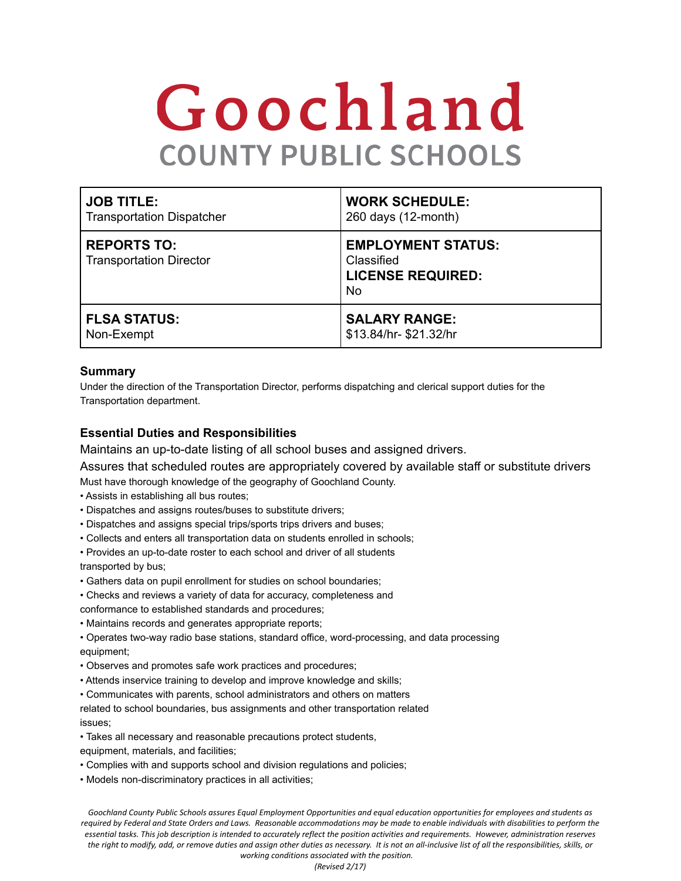# Goochland **COUNTY PUBLIC SCHOOLS**

| <b>JOB TITLE:</b>                                    | <b>WORK SCHEDULE:</b>                                                     |
|------------------------------------------------------|---------------------------------------------------------------------------|
| <b>Transportation Dispatcher</b>                     | 260 days (12-month)                                                       |
| <b>REPORTS TO:</b><br><b>Transportation Director</b> | <b>EMPLOYMENT STATUS:</b><br>Classified<br><b>LICENSE REQUIRED:</b><br>No |
| <b>FLSA STATUS:</b>                                  | <b>SALARY RANGE:</b>                                                      |
| Non-Exempt                                           | \$13.84/hr-\$21.32/hr                                                     |

#### **Summary**

Under the direction of the Transportation Director, performs dispatching and clerical support duties for the Transportation department.

#### **Essential Duties and Responsibilities**

Maintains an up-to-date listing of all school buses and assigned drivers.

Assures that scheduled routes are appropriately covered by available staff or substitute drivers Must have thorough knowledge of the geography of Goochland County.

- Assists in establishing all bus routes;
- Dispatches and assigns routes/buses to substitute drivers;
- Dispatches and assigns special trips/sports trips drivers and buses;
- Collects and enters all transportation data on students enrolled in schools;
- Provides an up-to-date roster to each school and driver of all students

transported by bus;

- Gathers data on pupil enrollment for studies on school boundaries;
- Checks and reviews a variety of data for accuracy, completeness and

conformance to established standards and procedures;

• Maintains records and generates appropriate reports;

• Operates two-way radio base stations, standard office, word-processing, and data processing equipment;

- Observes and promotes safe work practices and procedures;
- Attends inservice training to develop and improve knowledge and skills;

• Communicates with parents, school administrators and others on matters

related to school boundaries, bus assignments and other transportation related issues;

- Takes all necessary and reasonable precautions protect students,
- equipment, materials, and facilities;
- Complies with and supports school and division regulations and policies;
- Models non-discriminatory practices in all activities;

Goochland County Public Schools assures Equal Employment Opportunities and equal education opportunities for employees and students as required by Federal and State Orders and Laws. Reasonable accommodations may be made to enable individuals with disabilities to perform the essential tasks. This job description is intended to accurately reflect the position activities and requirements. However, administration reserves the right to modify, add, or remove duties and assign other duties as necessary. It is not an all-inclusive list of all the responsibilities, skills, or *working conditions associated with the position.*

*(Revised 2/17)*